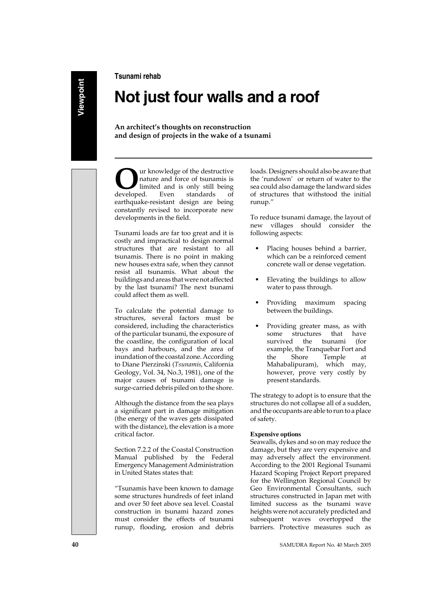**Tsunami rehab**

### **Not just four walls and a roof**

**An architect's thoughts on reconstruction and design of projects in the wake of a tsunami**

**O**ur knowledge of the destructive<br>
nature and force of tsunamis is<br>
limited and is only still being<br>
developed Even standards of nature and force of tsunamis is limited and is only still being developed. Even standards of earthquake-resistant design are being constantly revised to incorporate new developments in the field.

Tsunami loads are far too great and it is costly and impractical to design normal structures that are resistant to all tsunamis. There is no point in making new houses extra safe, when they cannot resist all tsunamis. What about the buildings and areas that were not affected by the last tsunami? The next tsunami could affect them as well.

To calculate the potential damage to structures, several factors must be considered, including the characteristics of the particular tsunami, the exposure of the coastline, the configuration of local bays and harbours, and the area of inundation of the coastal zone. According to Diane Pierzinski (*Tsunamis*, California Geology, Vol. 34, No.3, 1981), one of the major causes of tsunami damage is surge-carried debris piled on to the shore.

Although the distance from the sea plays a significant part in damage mitigation (the energy of the waves gets dissipated with the distance), the elevation is a more critical factor.

Section 7.2.2 of the Coastal Construction Manual published by the Federal Emergency Management Administration in United States states that:

"Tsunamis have been known to damage some structures hundreds of feet inland and over 50 feet above sea level. Coastal construction in tsunami hazard zones must consider the effects of tsunami runup, flooding, erosion and debris loads. Designers should also be aware that the 'rundown' or return of water to the sea could also damage the landward sides of structures that withstood the initial runup."

To reduce tsunami damage, the layout of new villages should consider the following aspects:

- Placing houses behind a barrier, which can be a reinforced cement concrete wall or dense vegetation.
- Elevating the buildings to allow water to pass through.
- Providing maximum spacing between the buildings.
- Providing greater mass, as with some structures that have survived the tsunami (for example, the Tranquebar Fort and the Shore Temple at Mahabalipuram), which may, however, prove very costly by present standards.

The strategy to adopt is to ensure that the structures do not collapse all of a sudden, and the occupants are able to run to a place of safety.

### **Expensive options**

Seawalls, dykes and so on may reduce the damage, but they are very expensive and may adversely affect the environment. According to the 2001 Regional Tsunami Hazard Scoping Project Report prepared for the Wellington Regional Council by Geo Environmental Consultants, such structures constructed in Japan met with limited success as the tsunami wave heights were not accurately predicted and subsequent waves overtopped the barriers. Protective measures such as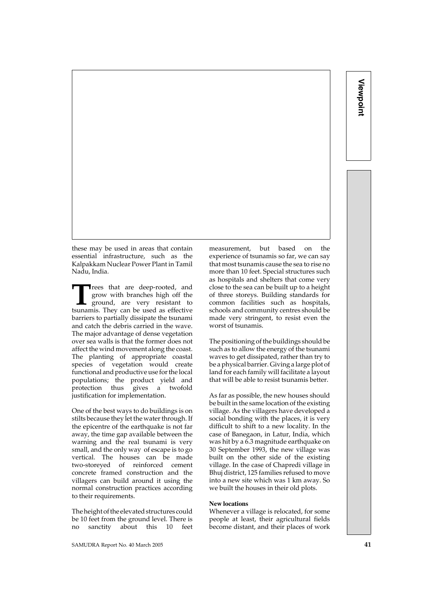these may be used in areas that contain essential infrastructure, such as the Kalpakkam Nuclear Power Plant in Tamil Nadu, India.

**T**rees that are deep-rooted, and grow with branches high off the ground, are very resistant to the used as effective grow with branches high off the ground, are very resistant to tsunamis. They can be used as effective barriers to partially dissipate the tsunami and catch the debris carried in the wave. The major advantage of dense vegetation over sea walls is that the former does not affect the wind movement along the coast. The planting of appropriate coastal species of vegetation would create functional and productive use for the local populations; the product yield and protection thus gives a twofold justification for implementation.

One of the best ways to do buildings is on stilts because they let the water through. If the epicentre of the earthquake is not far away, the time gap available between the warning and the real tsunami is very small, and the only way of escape is to go vertical. The houses can be made two-storeyed of reinforced cement concrete framed construction and the villagers can build around it using the normal construction practices according to their requirements.

The height of the elevated structures could be 10 feet from the ground level. There is no sanctity about this 10 feet

SAMUDRA Report No. 40 March 2005 **41**

measurement, but based on the experience of tsunamis so far, we can say that most tsunamis cause the sea to rise no more than 10 feet. Special structures such as hospitals and shelters that come very close to the sea can be built up to a height of three storeys. Building standards for common facilities such as hospitals, schools and community centres should be made very stringent, to resist even the worst of tsunamis.

The positioning of the buildings should be such as to allow the energy of the tsunami waves to get dissipated, rather than try to be a physical barrier. Giving a large plot of land for each family will facilitate a layout that will be able to resist tsunamis better.

As far as possible, the new houses should be built in the same location of the existing village. As the villagers have developed a social bonding with the places, it is very difficult to shift to a new locality. In the case of Banegaon, in Latur, India, which was hit by a 6.3 magnitude earthquake on 30 September 1993, the new village was built on the other side of the existing village. In the case of Chapredi village in Bhuj district, 125 families refused to move into a new site which was 1 km away. So we built the houses in their old plots.

#### **New locations**

Whenever a village is relocated, for some people at least, their agricultural fields become distant, and their places of work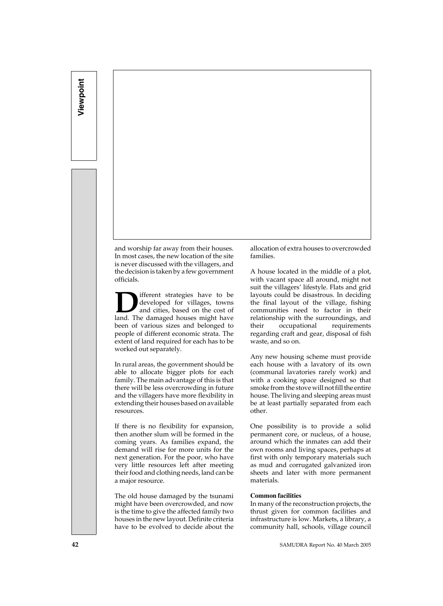## **Viewpoint**  Viewpoint

and worship far away from their houses. In most cases, the new location of the site is never discussed with the villagers, and the decision is taken by a few government officials.

**D**ifferent strategies have to be<br>developed for villages, towns<br>and cities, based on the cost of<br>land The damaged houses might have developed for villages, towns and cities, based on the cost of land. The damaged houses might have been of various sizes and belonged to people of different economic strata. The extent of land required for each has to be worked out separately.

In rural areas, the government should be able to allocate bigger plots for each family. The main advantage of this is that there will be less overcrowding in future and the villagers have more flexibility in extending their houses based on available resources.

If there is no flexibility for expansion, then another slum will be formed in the coming years. As families expand, the demand will rise for more units for the next generation. For the poor, who have very little resources left after meeting their food and clothing needs, land can be a major resource.

The old house damaged by the tsunami might have been overcrowded, and now is the time to give the affected family two houses in the new layout. Definite criteria have to be evolved to decide about the

allocation of extra houses to overcrowded families.

A house located in the middle of a plot, with vacant space all around, might not suit the villagers' lifestyle. Flats and grid layouts could be disastrous. In deciding the final layout of the village, fishing communities need to factor in their relationship with the surroundings, and their occupational requirements regarding craft and gear, disposal of fish waste, and so on.

Any new housing scheme must provide each house with a lavatory of its own (communal lavatories rarely work) and with a cooking space designed so that smoke from the stove will not fill the entire house. The living and sleeping areas must be at least partially separated from each other.

One possibility is to provide a solid permanent core, or nucleus, of a house, around which the inmates can add their own rooms and living spaces, perhaps at first with only temporary materials such as mud and corrugated galvanized iron sheets and later with more permanent materials.

### **Common facilities**

In many of the reconstruction projects, the thrust given for common facilities and infrastructure is low. Markets, a library, a community hall, schools, village council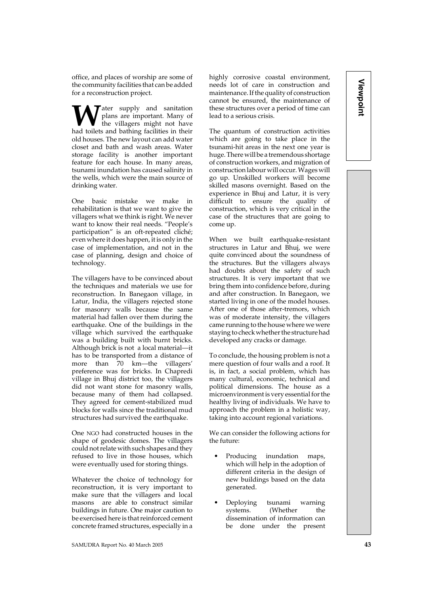office, and places of worship are some of the community facilities that can be added for a reconstruction project.

**Tater** supply and sanitation plans are important. Many of the villagers might not have had toilets and bathing facilities in their old houses. The new layout can add water closet and bath and wash areas. Water storage facility is another important feature for each house. In many areas, tsunami inundation has caused salinity in the wells, which were the main source of drinking water.

One basic mistake we make in rehabilitation is that we want to give the villagers what we think is right. We never want to know their real needs. "People's participation" is an oft-repeated cliché; even where it does happen, it is only in the case of implementation, and not in the case of planning, design and choice of technology.

The villagers have to be convinced about the techniques and materials we use for reconstruction. In Banegaon village, in Latur, India, the villagers rejected stone for masonry walls because the same material had fallen over them during the earthquake. One of the buildings in the village which survived the earthquake was a building built with burnt bricks. Although brick is not a local material—it has to be transported from a distance of more than 70 km—the villagers' preference was for bricks. In Chapredi village in Bhuj district too, the villagers did not want stone for masonry walls, because many of them had collapsed. They agreed for cement-stabilized mud blocks for walls since the traditional mud structures had survived the earthquake.

One NGO had constructed houses in the shape of geodesic domes. The villagers could not relate with such shapes and they refused to live in those houses, which were eventually used for storing things.

Whatever the choice of technology for reconstruction, it is very important to make sure that the villagers and local masons are able to construct similar buildings in future. One major caution to be exercised here is that reinforced cement concrete framed structures, especially in a

had doubts about the safety of such structures. It is very important that we

come up.

bring them into confidence before, during and after construction. In Banegaon, we started living in one of the model houses. After one of those after-tremors, which was of moderate intensity, the villagers came running to the house where we were staying to check whether the structure had developed any cracks or damage.

When we built earthquake-resistant structures in Latur and Bhuj, we were quite convinced about the soundness of the structures. But the villagers always

highly corrosive coastal environment, needs lot of care in construction and maintenance. If the quality of construction cannot be ensured, the maintenance of these structures over a period of time can

The quantum of construction activities which are going to take place in the tsunami-hit areas in the next one year is huge. There will be a tremendous shortage of construction workers, and migration of construction labour will occur. Wages will go up. Unskilled workers will become skilled masons overnight. Based on the experience in Bhuj and Latur, it is very difficult to ensure the quality of construction, which is very critical in the case of the structures that are going to

lead to a serious crisis.

To conclude, the housing problem is not a mere question of four walls and a roof. It is, in fact, a social problem, which has many cultural, economic, technical and political dimensions. The house as a microenvironment is very essential for the healthy living of individuals. We have to approach the problem in a holistic way, taking into account regional variations.

We can consider the following actions for the future:

- Producing inundation maps, which will help in the adoption of different criteria in the design of new buildings based on the data generated.
- Deploying tsunami warning systems. (Whether the dissemination of information can be done under the present